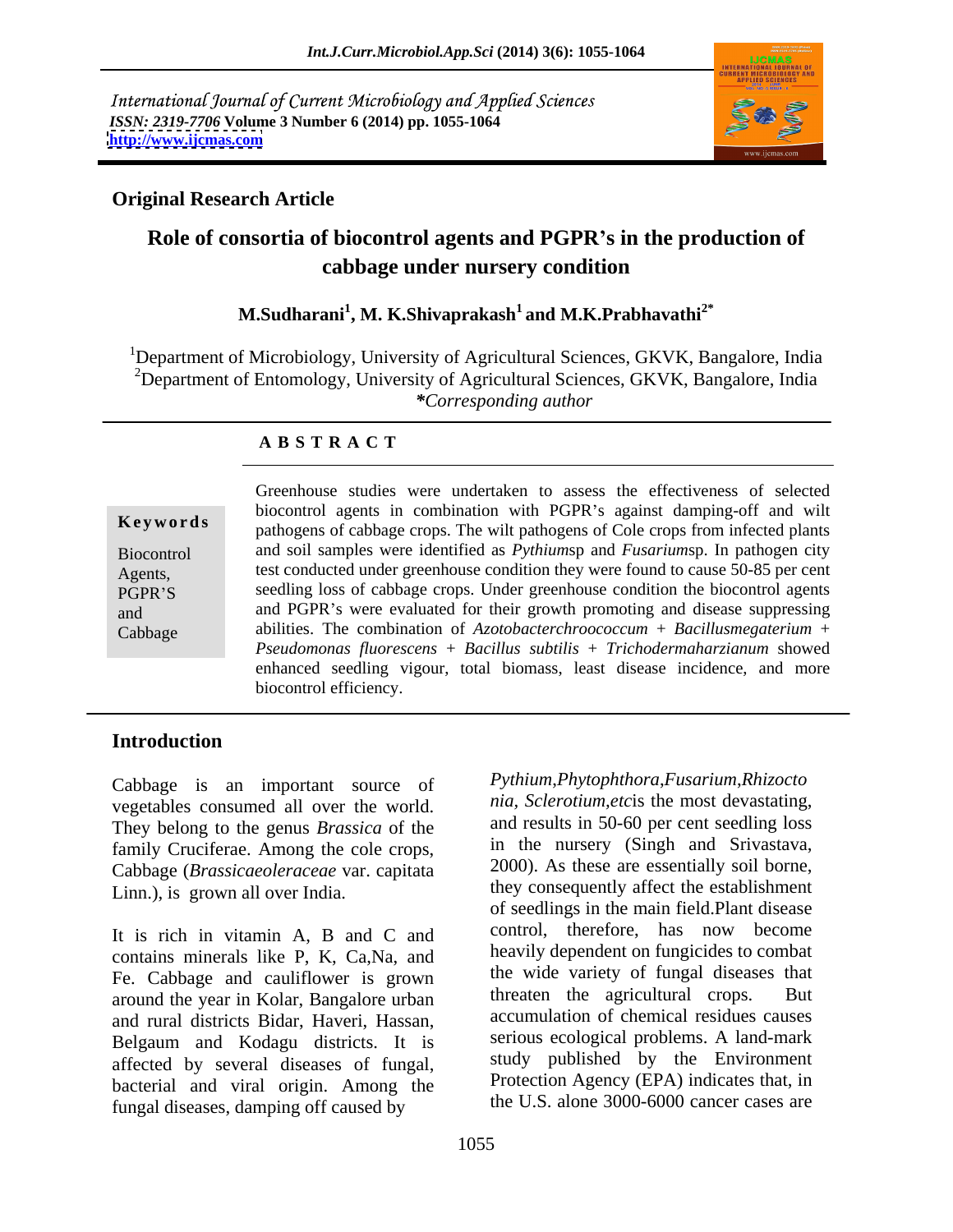International Journal of Current Microbiology and Applied Sciences *ISSN: 2319-7706* **Volume 3 Number 6 (2014) pp. 1055-1064 <http://www.ijcmas.com>**



### **Original Research Article**

### **Role of consortia of biocontrol agents and PGPR s in the production of cabbage under nursery condition**

#### **M.Sudharani<sup>1</sup> , M. K.Shivaprakash<sup>1</sup> and M.K.Prabhavathi2\***

<sup>1</sup>Department of Microbiology, University of Agricultural Sciences, GKVK, Bangalore, India <sup>2</sup>Department of Entomology, University of Agricultural Sciences, GKVK, Bangalore, India *\*Corresponding author* 

#### **A B S T R A C T**

**Keywords** pathogens of cabbage crops. The wilt pathogens of Cole crops from infected plants Biocontrol and soil samples were identified as *Pythium*sp and *Fusarium*sp. In pathogen city Agents, test conducted under greenhouse condition they were found to cause 50-85 per cent PGPR'S seedling loss of cabbage crops. Under greenhouse condition the biocontrol agents and and PGPR's were evaluated for their growth promoting and disease suppressing Cabbage abilities. The combination of *Azotobacterchroococcum* + *Bacillusmegaterium* + Greenhouse studies were undertaken to assess the effectiveness of selected biocontrol agents in combination with PGPR's against damping-off and wilt *Pseudomonas fluorescens* + *Bacillus subtilis* + *Trichodermaharzianum* showed enhanced seedling vigour, total biomass, least disease incidence, and more biocontrol efficiency.

### **Introduction**

Cabbage is an important source of vegetables consumed all over the world. They belong to the genus *Brassica* of the family Cruciferae. Among the cole crops, Cabbage (*Brassicaeoleraceae* var. capitata

contains minerals like P, K, Ca,Na, and Fe. Cabbage and cauliflower is grown<br>or the wide variety of fungal diseases that<br>reaction of the approaches the agricultural crops. But around the year in Kolar, Bangalore urban and rural districts Bidar, Haveri, Hassan, Belgaum and Kodagu districts. It is affected by several diseases of fungal, bacterial and viral origin. Among the fungal diseases, damping off caused by

Linn.), is grown all over India.<br>It is rich in vitamin A, B and C and control, therefore, has now become *Pythium*,*Phytophthora*,*Fusarium*,*Rhizocto nia, Sclerotium,etc*is the most devastating, and results in 50-60 per cent seedling loss in the nursery (Singh and Srivastava, 2000). As these are essentially soil borne, they consequently affect the establishment of seedlings in the main field.Plant disease control, therefore, has now become heavily dependent on fungicides to combat the wide variety of fungal diseases that threaten the agricultural crops. accumulation of chemical residues causes serious ecological problems. A land-mark study published by the Environment Protection Agency (EPA) indicates that, in the U.S. alone 3000-6000 cancer cases are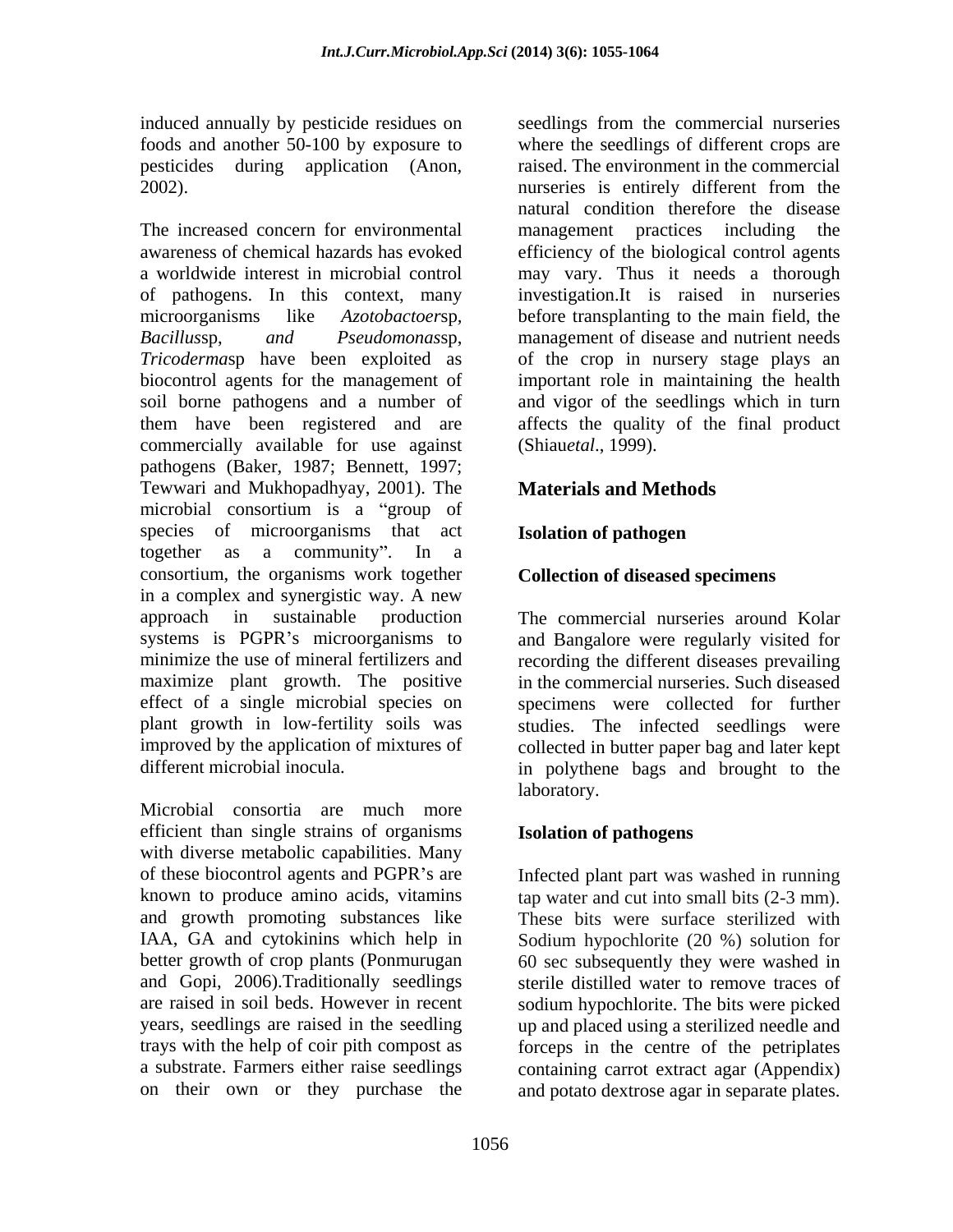The increased concern for environmental management practices including the awareness of chemical hazards has evoked efficiency of the biological control agents a worldwide interest in microbial control may vary. Thus it needs a thorough of pathogens. In this context, many investigation.It is raised in nurseries microorganisms like *Azotobactoersp*, before transplanting to the main field, the *Bacillussp*, *and Pseudomonassp*, management of disease and nutrient needs *Tricoderma*sp have been exploited as of the crop in nursery stage plays an biocontrol agents for the management of important role in maintaining the health soil borne pathogens and a number of and vigor of the seedlings which in turn them have been registered and are affects the quality of the final product commercially available for use against pathogens (Baker, 1987; Bennett, 1997; Tewwari and Mukhopadhyay, 2001). The **Materials and Methods** microbial consortium is a "group of species of microorganisms that act **Isolation of pathogen** together as a community". In a consortium, the organisms work together in a complex and synergistic way. A new approach in sustainable production The commercial nurseries around Kolar systems is PGPR's microorganisms to minimize the use of mineral fertilizers and recording the different diseases prevailing maximize plant growth. The positive effect of a single microbial species on plant growth in low-fertility soils was studies. The infected seedlings were improved by the application of mixtures of collected in butter paper bag and later kept

Microbial consortia are much more efficient than single strains of organisms with diverse metabolic capabilities. Many of these biocontrol agents and PGPR's are Infected plant part was washed in running known to produce amino acids, vitamins tap water and cut into small bits (2-3 mm). and growth promoting substances like These bits were surface sterilized with IAA, GA and cytokinins which help in Sodium hypochlorite (20 %) solution for better growth of crop plants (Ponmurugan 60 sec subsequently they were washed in and Gopi, 2006).Traditionally seedlings are raised in soil beds. However in recent sodium hypochlorite. The bits were picked years, seedlings are raised in the seedling up and placed using a sterilized needle and trays with the help of coir pith compost as forceps in the centre of the petriplates a substrate. Farmers either raise seedlings containing carrot extract agar (Appendix)

induced annually by pesticide residues on seedlings from the commercial nurseries foods and another 50-100 by exposure to where the seedlings of different crops are pesticides during application (Anon, raised. The environment in the commercial 2002). nurseries is entirely different from the natural condition therefore the disease management practices including before transplanting to the main field, the management of disease and nutrient needs (Shiau*etal*., 1999).

### **Materials and Methods**

### **Isolation of pathogen**

### **Collection of diseased specimens**

different microbial inocula. in polythene bags and brought to the and Bangalore were regularly visited for in the commercial nurseries. Such diseased specimens were collected for further laboratory.

#### **Isolation of pathogens**

on their own or they purchase the and potato dextrose agar in separate plates. sterile distilled water to remove traces of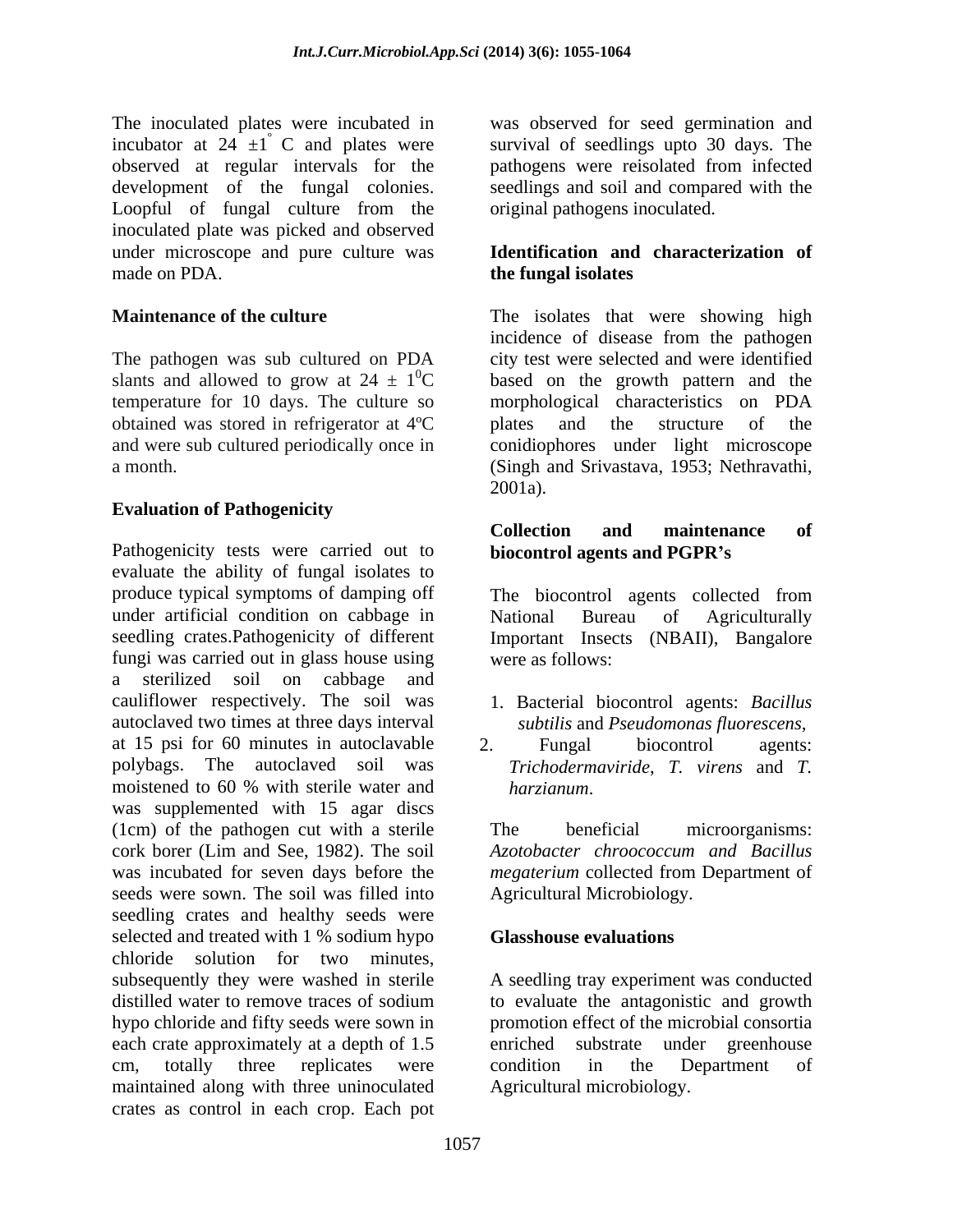observed at regular intervals for the development of the fungal colonies. Loopful of fungal culture from the inoculated plate was picked and observed under microscope and pure culture was **Identification and characterization of** made on PDA. **the fungal isolates** 

slants and allowed to grow at  $24 \pm 10^{\circ}$ C obtained was stored in refrigerator at 4ºC

#### **Evaluation of Pathogenicity**

Pathogenicity tests were carried out to **biocontrol agents and PGPR's** evaluate the ability of fungal isolates to produce typical symptoms of damping off The biocontrol agents collected from under artificial condition on cabbage in National Bureau of Agriculturally seedling crates.Pathogenicity of different Important Insects (NBAII), Bangalore fungi was carried out in glass house using were as follows: a sterilized soil on cabbage and cauliflower respectively. The soil was 1. Bacterial biocontrol agents: *Bacillus*  autoclaved two times at three days interval at 15 psi for 60 minutes in autoclavable was supplemented with 15 agar discs (1cm) of the pathogen cut with a sterile cork borer (Lim and See, 1982). The soil *Azotobacter chroococcum and Bacillus* was incubated for seven days before the *megaterium* collected from Department of seeds were sown. The soil was filled into seedling crates and healthy seeds were selected and treated with 1 % sodium hypo **Glasshouse evaluations** chloride solution for two minutes, subsequently they were washed in sterile A seedling tray experiment was conducted distilled water to remove traces of sodium to evaluate the antagonistic and growth hypo chloride and fifty seeds were sown in each crate approximately at a depth of 1.5 cm, totally three replicates were condition in the Department of maintained along with three uninoculated crates as control in each crop. Each pot

The inoculated plates were incubated in was observed for seed germination and incubator at  $24 \pm 1$  C and plates were survival of seedlings upto 30 days. The pathogens were reisolated from infected seedlings and soil and compared with the original pathogens inoculated.

# **the fungal isolates**

**Maintenance of the culture** The isolates that were showing high The pathogen was sub cultured on PDA city test were selected and were identified  ${}^{0}C$  based on the growth pattern and the temperature for 10 days. The culture so morphological characteristics on PDA and were sub cultured periodically once in conidiophores under light microscope a month. (Singh and Srivastava, 1953; Nethravathi, incidence of disease from the pathogen plates and the structure of the  $2001a$ .

#### **Collection and maintenance of biocontrol agents and PGPR s**

The biocontrol agents collected from National Bureau of Agriculturally were as follows:

- *subtilis* and *Pseudomonas fluorescens,*
- polybags. The autoclaved soil was *Trichodermaviride*, *T. virens* and *T.*  moistened to 60 % with sterile water and harzianum. 2. Fungal biocontrol agents: *harzianum*.

The beneficial microorganisms: *Azotobacter chroococcum and Bacillus* Agricultural Microbiology.

#### **Glasshouse evaluations**

promotion effect of the microbial consortia enriched substrate under greenhouse condition in the Department of Agricultural microbiology.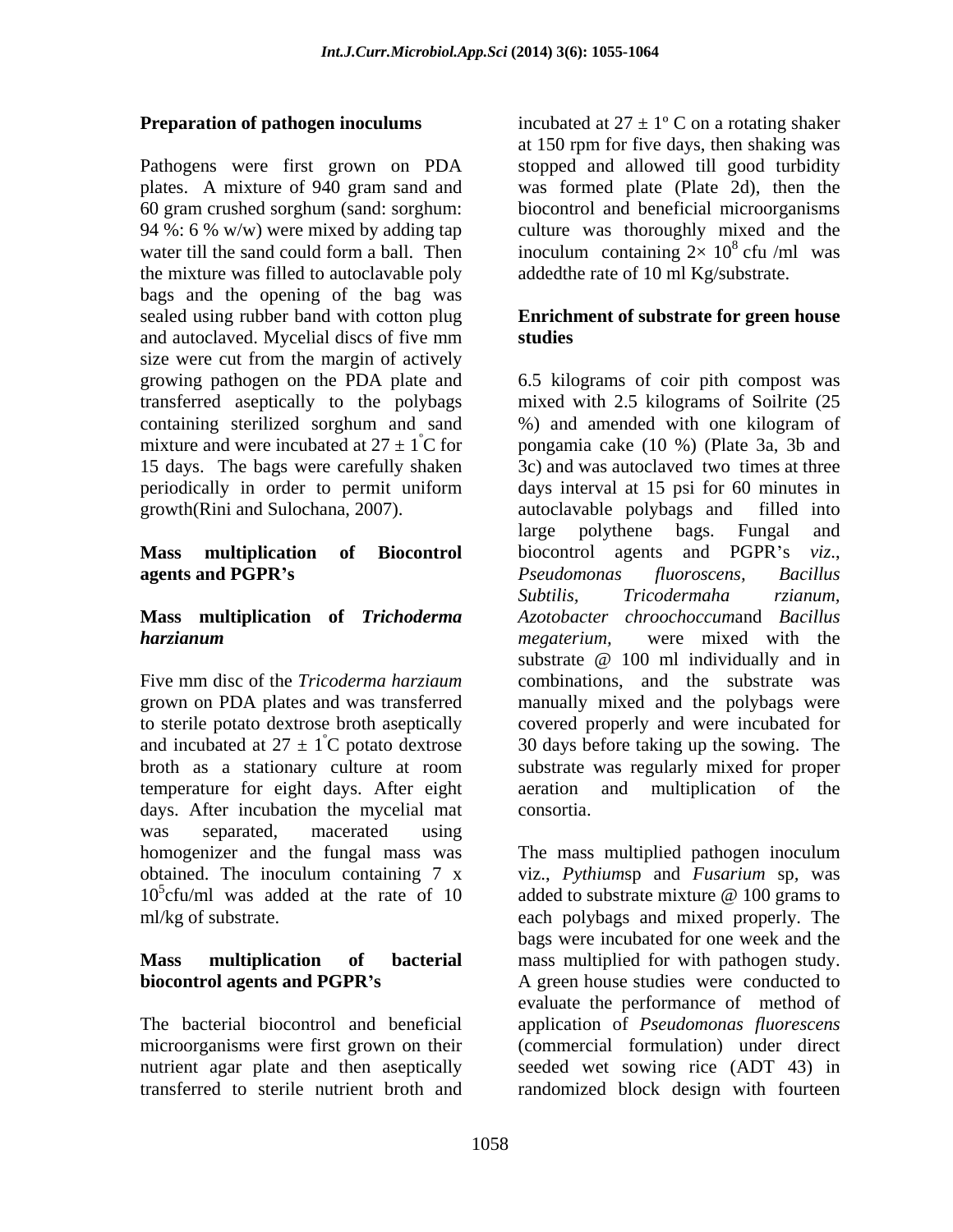Pathogens were first grown on PDA plates. A mixture of 940 gram sand and was formed plate (Plate 2d), then the 60 gram crushed sorghum (sand: sorghum: biocontrol and beneficial microorganisms 94 %: 6 % w/w) were mixed by adding tap culture was thoroughly mixed and the water till the sand could form a ball. Then inoculum containing  $2 \times 10^8$  cfu /ml was the mixture was filled to autoclavable poly bags and the opening of the bag was sealed using rubber band with cotton plug **Enrichment of substrate for green house**  and autoclaved. Mycelial discs of five mm studies size were cut from the margin of actively transferred aseptically to the polybags containing sterilized sorghum and sand (%) and amended with one kilogram of 15 days. The bags were carefully shaken growth(Rini and Sulochana, 2007).

broth as a stationary culture at room temperature for eight days. After eight days. After incubation the mycelial mat consortia. was separated, macerated using

microorganisms were first grown on their

**Preparation of pathogen inoculums** incubated at  $27 \pm 1$ °C on a rotating shaker at 150 rpm for five days, then shaking was stopped and allowed till good turbidity <sup>8</sup> cfu /ml was addedthe rate of 10 ml Kg/substrate.

# **studies**

growing pathogen on the PDA plate and 6.5 kilograms of coir pith compost was mixture and were incubated at  $27 \pm 1^{\circ}$ C for pongamia cake (10 %) (Plate 3a, 3b and periodically in order to permit uniform days interval at 15 psi for 60 minutes in **Mass multiplication of Biocontrol** biocontrol agents and PGPR's *viz*., **agents and PGPR's**  $P$  *seudomonas* fluoroscens, Bacillus **Mass multiplication of** *Trichoderma Azotobacter chroochoccum*and *Bacillus harzianum* Five mm disc of the *Tricoderma harziaum* combinations, and the substrate was grown on PDA plates and was transferred manually mixed and the polybags were to sterile potato dextrose broth aseptically covered properly and were incubated for and incubated at  $27 \pm 1^{\circ}$ C potato dextrose 30 days before taking up the sowing. The mixed with 2.5 kilograms of Soilrite (25 %) and amended with one kilogram of 3c) and was autoclaved two times at three autoclavable polybags and large polythene bags. Fungal and *Pseudomonas fluoroscens, Bacillus Subtilis, Tricodermaha rzianum, megaterium,* were mixed with the substrate @ 100 ml individually and in substrate was regularly mixed for proper multiplication of the consortia.

homogenizer and the fungal mass was The mass multiplied pathogen inoculum obtained. The inoculum containing 7 x viz., *Pythiumsp* and *Fusarium* sp, was 10<sup>5</sup>cfu/ml was added at the rate of 10 added to substrate mixture @ 100 grams to ml/kg of substrate. each polybags and mixed properly. The **Mass multiplication of bacterial** mass multiplied for with pathogen study. **biocontrol agents and PGPR's** A green house studies were conducted to The bacterial biocontrol and beneficial application of *Pseudomonas fluorescens* nutrient agar plate and then aseptically seeded wet sowing rice (ADT 43) in transferred to sterile nutrient broth and randomized block design with fourteenviz., *Pythium*sp and *Fusarium* sp*,* was bags were incubated for one week and the evaluate the performance of method of (commercial formulation) under direct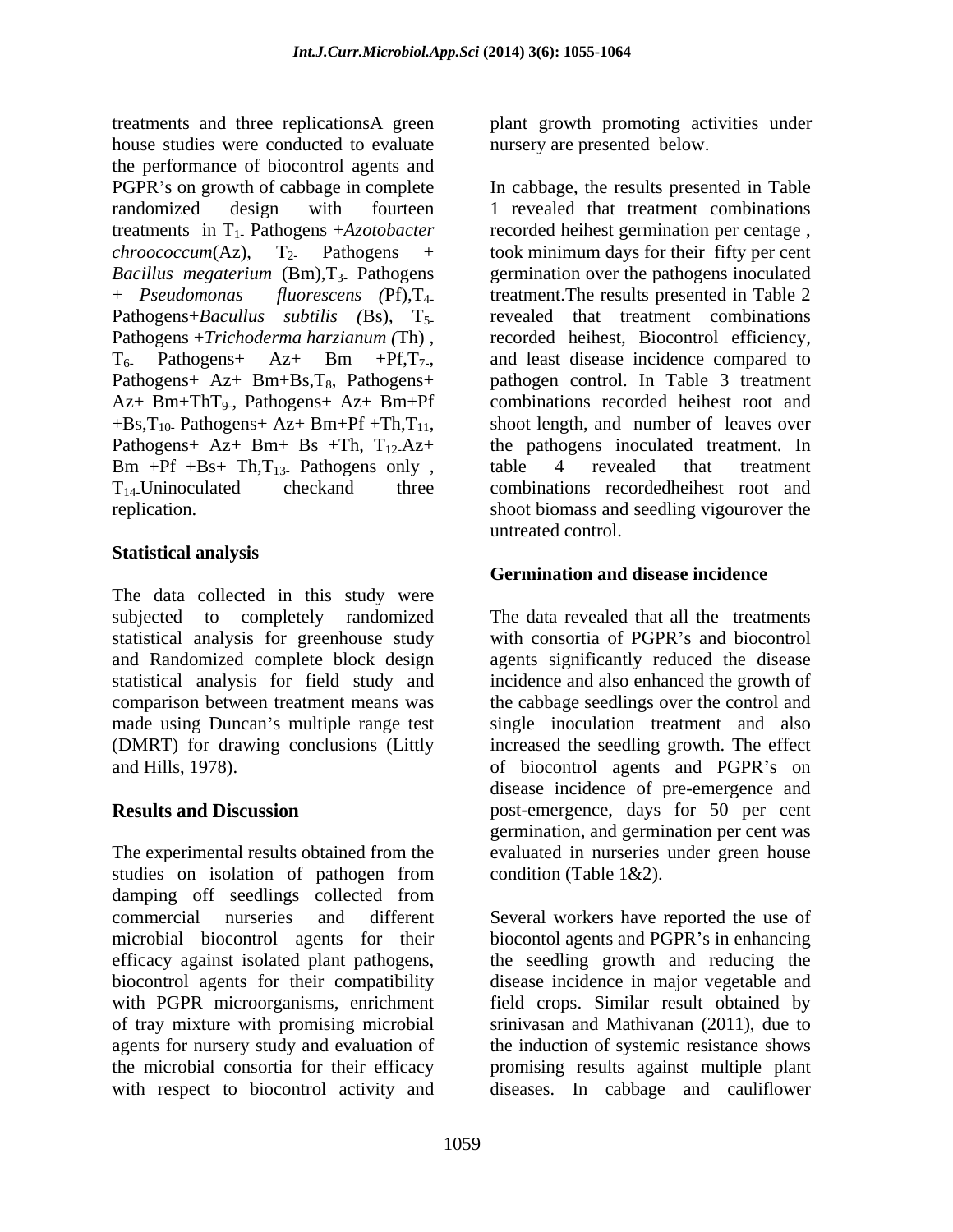treatments and three replicationsA green plant growth promoting activities under house studies were conducted to evaluate the performance of biocontrol agents and PGPR's on growth of cabbage in complete In cabbage, the results presented in Table randomized design with fourteen 1 revealed that treatment combinations treatments in T1- Pathogens +*Azotobacter*  $chroococum(Az)$ ,  $T_2$ . Pathogens + took minimum days for their fifty per cent Bacillus megaterium (Bm), T<sub>3</sub>. Pathogens germination over the pathogens inoculated + *Pseudomonas fluorescens (*Pf),T4- treatment.The results presented in Table 2 Pathogens+*Bacullus subtilis (*Bs), T5- Pathogens +*Trichoderma harzianum (*Th) , recorded heihest, Biocontrol efficiency,  $T_6$ . Pathogens + Az + Bm +Pf, $T_7$ , and least disease incidence compared to Pathogens+ Az+ Bm+Bs,T<sub>8</sub>, Pathogens+ pathogen control. In Table 3 treatment Az+ Bm+ThT<sub>9</sub>., Pathogens+ Az+ Bm+Pf<br>+Bs,T<sub>10</sub>. Pathogens+ Az+ Bm+Pf +Th,T<sub>11</sub>,  $+$ Bs,T<sub>10</sub>. Pathogens+ Az+ Bm+Pf +Th,T<sub>11</sub>, shoot length, and number of leaves over Pathogens+ Az+ Bm+ Bs +Th, T<sub>12</sub>-Az+ the pathogens inoculated treatment. In  $Bm +Pf +Bs+ Th, T_{13}$  Pathogens only, table 4 revealed that treatment  $T_{14}$ . Uninoculated checkand three combinations recorded heilest root and T14-Uninoculated checkand three combinations recordedheihest root and

#### **Statistical analysis**

The data collected in this study were subjected to completely randomized statistical analysis for greenhouse study and Randomized complete block design agents significantly reduced the disease statistical analysis for field study and incidence and also enhanced the growth of comparison between treatment means was the cabbage seedlings over the control and made using Duncan's multiple range test single inoculation treatment and also (DMRT) for drawing conclusions (Littly increased the seedling growth. The effect and Hills, 1978). The control agents and PGPR's on

The experimental results obtained from the evaluated in nurseries under green house studies on isolation of pathogen from condition (Table 1&2). damping off seedlings collected from commercial nurseries and different Several workers have reported the use of microbial biocontrol agents for their biocontol agents and PGPR's in enhancing efficacy against isolated plant pathogens, the seedling growth and reducing the biocontrol agents for their compatibility disease incidence in major vegetable and with PGPR microorganisms, enrichment of tray mixture with promising microbial agents for nursery study and evaluation of the induction of systemic resistance shows the microbial consortia for their efficacy promising results against multiple plant

nursery are presented below.

, Pathogens+ Az+ Bm+Pf combinations recorded heihest root and replication. Shoot biomass and seedling vigourover the recorded heihest germination per centage , revealed that treatment combinations shoot length, and number of leaves over the pathogens inoculated treatment. In table 4 revealed that treatment untreated control.

#### **Germination and disease incidence**

**Results and Discussion** post-emergence, days for 50 per cent The data revealed that all the treatments with consortia of PGPR's and biocontrol disease incidence of pre-emergence and germination, and germination per cent was condition (Table 1&2).

with respect to biocontrol activity and diseases. In cabbage and cauliflowerfield crops. Similar result obtained by srinivasan and Mathivanan (2011), due to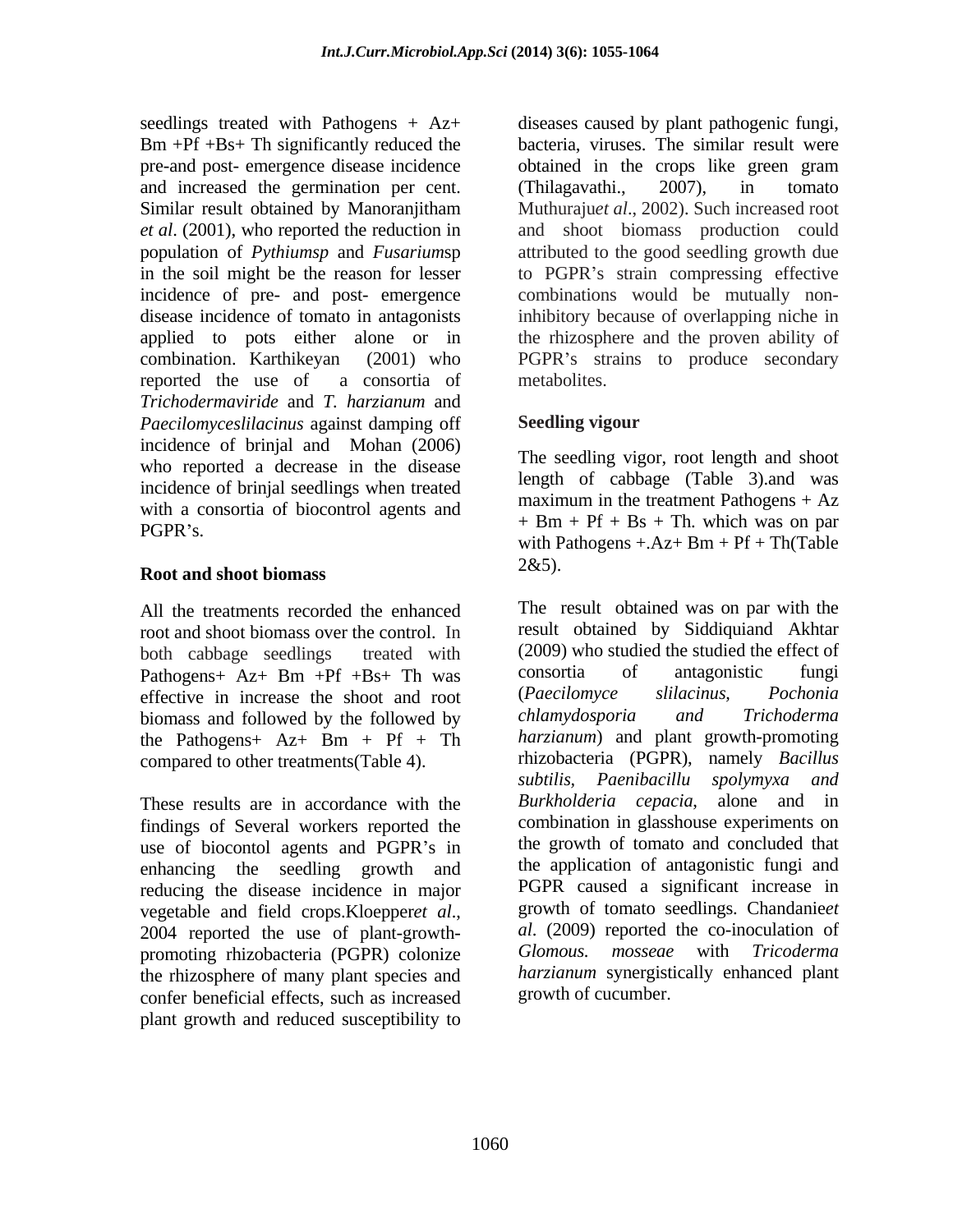and increased the germination per cent. (Thilagavathi., 2007), in tomato reported the use of a consortia of *Trichodermaviride* and *T. harzianum* and *Paecilomyceslilacinus* against damping off incidence of brinjal and Mohan (2006) who reported a decrease in the disease incidence of brinjal seedlings when treated with a consortia of biocontrol agents and

## **Root and shoot biomass**

root and shoot biomass over the control. In Pathogens+  $Az+$  Bm +Pf +Bs+ Th was consortia of antagonistic funging effective in increase the shoot and root (Paecilomyce slilacinus, Pochonia effective in increase the shoot and root (Paecilomyce slilacinus, Pochonia<br>biomass and followed by the followed by chlamydosporia and Trichoderma biomass and followed by the followed by the Pathogens+  $Az+$  Bm + Pf + Th

These results are in accordance with the *Burkholderia cepacia*, alone and in findings of Several workers reported the use of biocontol agents and PGPR's in enhancing the seedling growth and reducing the disease incidence in major promoting rhizobacteria (PGPR) colonize the rhizosphere of many plant species and confer beneficial effects, such as increased plant growth and reduced susceptibility to

seedlings treated with Pathogens + Az+ diseases caused by plant pathogenic fungi, Bm +Pf +Bs+ Th significantly reduced the bacteria, viruses. The similar result were pre-and post- emergence disease incidence obtained in the crops like green gram Similar result obtained by Manoranjitham Muthurajuet al., 2002). Such increased root *et al*. (2001), who reported the reduction in and shoot biomass production could population of *Pythiumsp* and *Fusarium*sp attributed to the good seedling growth due in the soil might be the reason for lesser to PGPR's strain compressing effective incidence of pre- and post- emergence combinations would be mutually nondisease incidence of tomato in antagonists inhibitory because of overlapping niche in applied to pots either alone or in the rhizosphere and the proven ability of combination. Karthikeyan (2001) who PGPR's strains to produce secondary (Thilagavathi., 2007), in tomato Muthuraju*et al*., 2002). Such increased root metabolites.

### **Seedling vigour**

 $\angle PGPR$ 's. The seedling vigor, root length and shoot length of cabbage (Table 3).and was maximum in the treatment Pathogens  $+ Az$  $+$  Bm  $+$  Pf  $+$  Bs  $+$  Th. which was on par with Pathogens  $+Az+ Bm + Pf + Th(Table$  $2&5$ ).

All the treatments recorded the enhanced The result obtained was on par with the both cabbage seedlings treated with (2009) who studied the studied the effect of compared to other treatments(Table 4). Thizobacteria (PGPR), namely Bacillus<br>subtilis, Paenibacillu spolymyxa and vegetable and field crops.Kloepper*et al*., growth of tomato seedlings. Chandanie*et* 2004 reported the use of plant-growth- *al.* (2009) reported the co-inoculation of result obtained by Siddiquiand Akhtar consortia of antagonistic fungi (*Paecilomyce slilacinus, Pochonia chlamydosporia and Trichoderma harzianum*) and plant growth-promoting rhizobacteria (PGPR), namely *Bacillus subtilis, Paenibacillu spolymyxa and Burkholderia cepacia*, alone and combination in glasshouse experiments on the growth of tomato and concluded that the application of antagonistic fungi and PGPR caused a significant increase in growth of tomato seedlings. Chandanie*et al*. (2009) reported the co-inoculation of *Glomous. mosseae* with *Tricoderma harzianum* synergistically enhanced plant growth of cucumber.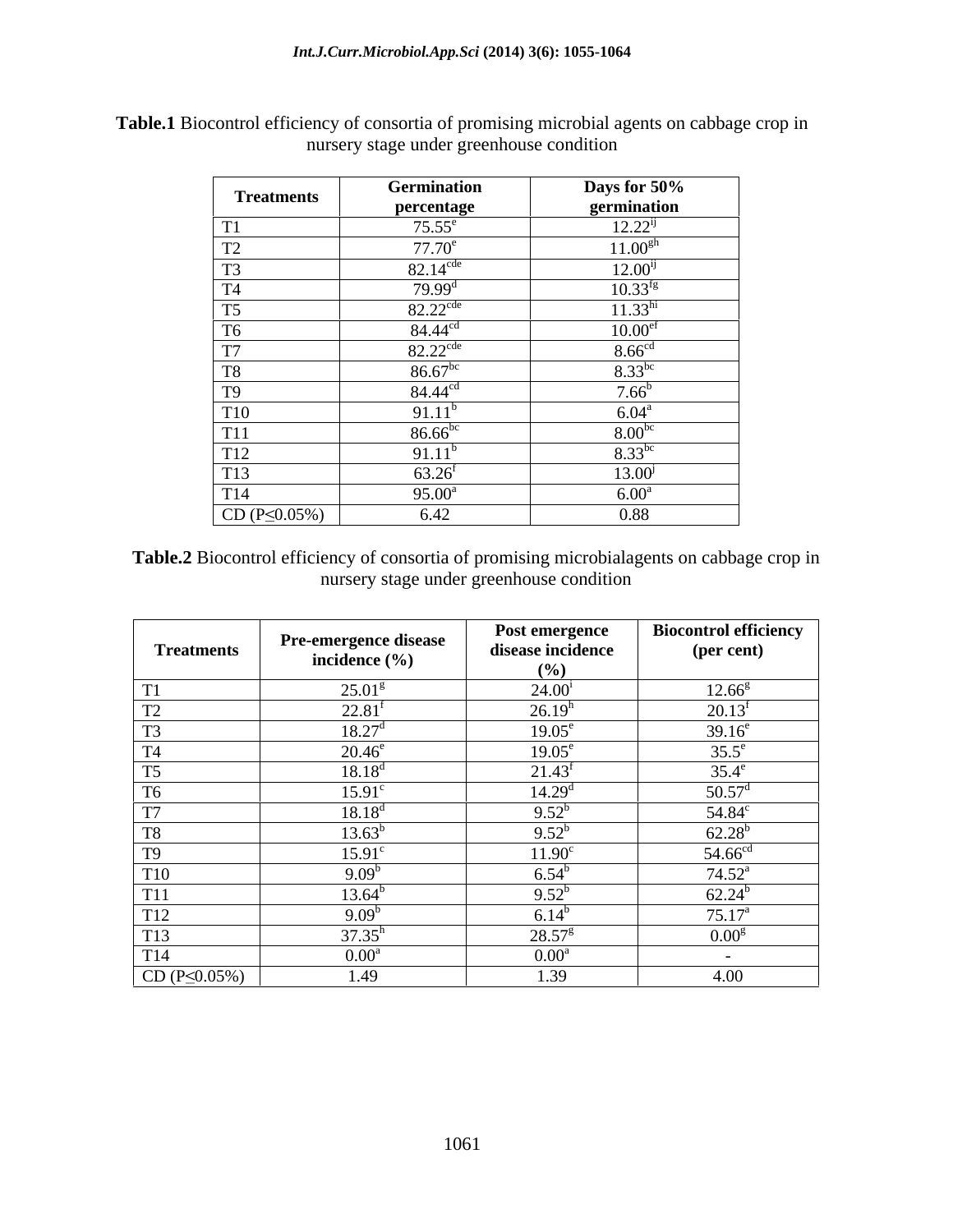| <b>Treatments</b>                                                                                                    | Germination            | Days for 50%        |
|----------------------------------------------------------------------------------------------------------------------|------------------------|---------------------|
|                                                                                                                      | percentage             | germination         |
| T1                                                                                                                   | $75.55^e$              | $12.22^{ij}$        |
| T <sub>2</sub>                                                                                                       | $77.70^e$              | $11.00^{gh}$        |
| T <sub>3</sub>                                                                                                       | $82.14^{\text{cde}}$   | $12.00^{ij}$        |
| <b>T4</b>                                                                                                            | $79.99^{\rm d}$        | $10.33^{fg}$        |
|                                                                                                                      | $82.22$ <sup>cde</sup> | 11.33 <sup>hi</sup> |
| $\frac{T5}{T6}$                                                                                                      | 84.44 <sup>cd</sup>    | 10.00 <sup>ef</sup> |
| $\sqrt{17}$                                                                                                          | $82.22$ <sup>cde</sup> | 8.66 <sup>cd</sup>  |
| T8                                                                                                                   | $86.67^{bc}$           | $8.33^{bc}$         |
|                                                                                                                      | 84.44 <sup>cd</sup>    | $7.66^b$            |
|                                                                                                                      | $91.11^b$              | $6.04^{\rm a}$      |
|                                                                                                                      | $86.66^{bc}$           | $8.00^{bc}$         |
|                                                                                                                      | $91.11^b$              | $8.33^{bc}$         |
| $\begin{tabular}{c} T9 \\ \hline T9 \\ \hline T11 \\ \hline T12 \\ \hline T13 \\ \hline T14 \\ \hline \end{tabular}$ | $63.26^{\rm f}$        | $13.00^{j}$         |
|                                                                                                                      | $95.00^{\circ}$        | $6.00^{\text{a}}$   |
| $CD (P \le 0.05\%)$                                                                                                  | 6.42                   | 0.88                |

**Table.1** Biocontrol efficiency of consortia of promising microbial agents on cabbage crop in nursery stage under greenhouse condition

**Table.2** Biocontrol efficiency of consortia of promising microbialagents on cabbage crop in nursery stage under greenhouse condition

| <b>Treatments</b>    | <b>Pre-emergence disease</b> | Post emergence<br>disease incidence | <b>Biocontrol efficiency</b><br>(per cent) |
|----------------------|------------------------------|-------------------------------------|--------------------------------------------|
|                      | incidence $(\% )$            | (%)                                 |                                            |
| T1                   | $25.01^{\rm g}$              | $24.00^{\rm i}$                     | $12.66^{\rm g}$                            |
| T <sub>2</sub>       | $22.81^t$                    | 26.19 <sup>h</sup>                  | $20.13^f$                                  |
| T <sub>3</sub>       | $18.27^{\circ}$              | $19.05^{\circ}$                     | $39.16^e$                                  |
| T <sub>4</sub>       | $20.46^{\circ}$              | $19.05^{\circ}$                     | $35.5^e$                                   |
| T <sub>5</sub>       | $18.18^{\circ}$              | $21.43^{\circ}$                     | $35.4^e$                                   |
| T <sub>6</sub>       | $15.91^{\circ}$              | 14.29 <sup>d</sup>                  | $50.57^{\rm d}$                            |
| T7                   | $18.18^{\circ}$              | $9.52^{b}$                          | $54.84^c$                                  |
| T <sub>8</sub>       | $13.63^{b}$                  | $9.52^b$                            | $62.28^{b}$                                |
| T <sub>9</sub>       | $15.91^{\circ}$              | $11.90^{\circ}$                     | $54.66^{cd}$                               |
| <b>T10</b>           | 9.09                         | $6.54^t$                            | $74.52^{\rm a}$                            |
| <b>T11</b>           | $13.64^{\rm b}$              | $9.52^b$                            | $62.24^{b}$                                |
| T <sub>12</sub>      | $9.09^b$                     | $6.14^{\circ}$                      | $75.17^{\rm a}$                            |
| T <sub>13</sub>      | $37.35^h$                    | $28.57^{\rm g}$                     | 0.00 <sup>g</sup>                          |
| T <sub>14</sub>      | $0.00^a$                     | $0.00^a$                            | $\sim$                                     |
| $CD (P \leq 0.05\%)$ | 1.49                         | 1.39                                | 4.00                                       |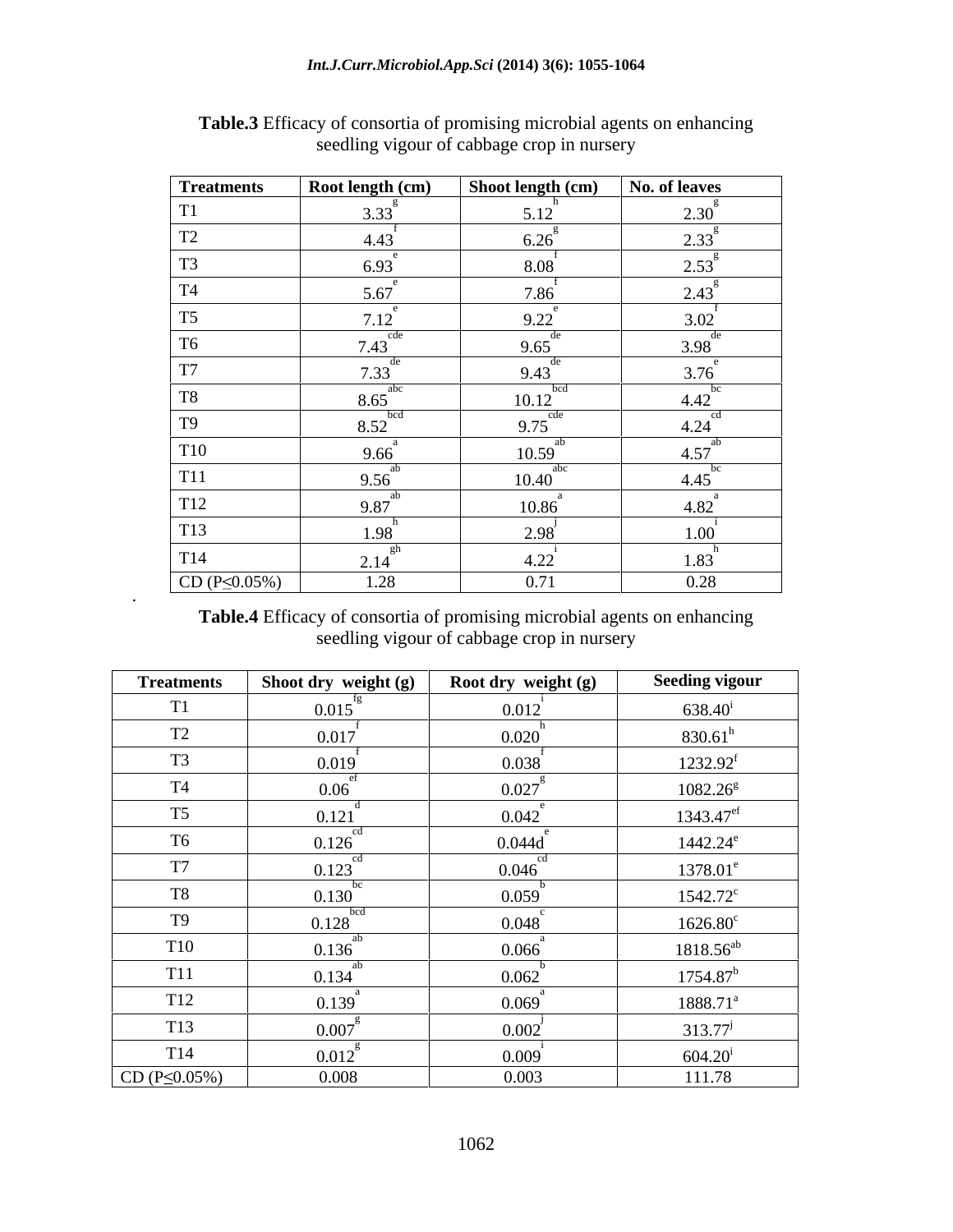| <b>Treatments</b>   | Root length (cm)                       | Shoot length (cm)           | No. of leaves        |
|---------------------|----------------------------------------|-----------------------------|----------------------|
| T1                  | $3.33^{8}$                             | 5.12                        | $2.30^{8}$           |
| T2                  | 4.43                                   | $6.26^\circ$                | $2.33^{g}$           |
| T <sub>3</sub>      | $6.93^e$                               | 8.08                        | $2.53^{\circ}$       |
| T <sub>4</sub>      | 5.67                                   | 7.86                        | $2.43^{\circ}$       |
| T <sub>5</sub>      | $7.12^{e}$                             | 9.22                        | 3.02                 |
| T <sub>6</sub>      | $7.43$ <sup>cde</sup>                  | $9.65^{\text{de}}$          | $3.98^{\text{de}}$   |
| T7                  | $7.33^{\text{de}}$                     | de<br>9.43                  | $3.76^\circ$         |
| $\rm{T}8$           | $8.65$ <sup>abc</sup>                  | bcd<br>10.12                | $4.42^{bc}$          |
| T <sub>9</sub>      | $8.52$ <sub>bcd</sub>                  | $9.75$ <sup>cde</sup>       | $4.24$ <sup>cd</sup> |
| <b>T10</b>          | $9.66^{a}$                             | ab<br>$10.59$ <sup>**</sup> | $4.57^{ab}$          |
| T <sub>11</sub>     | 9.56 <sup>ab</sup>                     | abc<br>10.40                | $4.45$ <sup>bc</sup> |
| T12                 | $9.87^{ab}$                            | $10.86$ <sup>"</sup>        | $4.82^{^{a}}$        |
| <b>T13</b>          | 1.98                                   | $2.98^{^{\circ}}$           | $\sim$ 1<br>1.00     |
| T <sub>14</sub>     | $2.14$ <sup><math>\degree</math></sup> | 4.22                        | 1.83                 |
| $CD (P \le 0.05\%)$ | 1.28                                   | 0.71                        | 0.28                 |

**Table.3** Efficacy of consortia of promising microbial agents on enhancing seedling vigour of cabbage crop in nursery

**Table.4** Efficacy of consortia of promising microbial agents on enhancing seedling vigour of cabbage crop in nursery

| <b>Treatments</b>   | Shoot dry weight (g)  | Root dry weight (g) | <b>Seeding vigour</b>   |
|---------------------|-----------------------|---------------------|-------------------------|
| T1                  | 0.015                 | 0.012               | $638.40^{\rm i}$        |
| T2                  | 0.017                 | 0.020               | $830.61^h$              |
| T <sub>3</sub>      | 0.019                 | 0.038               | $1232.92^f$             |
| <b>T4</b>           | 0.06                  | 0.027               | $1082.26^{\text{g}}$    |
| T <sub>5</sub>      | 0.121                 | 0.042               | $1343.47$ <sup>ef</sup> |
| T <sub>6</sub>      | $0.126$ <sup>cd</sup> | 0.044d              | $1442.24^e$             |
| T7                  | cd<br>0.123           | cd<br>0.046         | $1378.01^e$             |
| <b>T8</b>           | bc<br>0.130           | 0.059               | $1542.72^c$             |
| T9                  | 0.128                 | 0.048               | $1626.80^c$             |
| <b>T10</b>          | ab<br>0.136           | 0.066               | $1818.56^{ab}$          |
| <b>T11</b>          | ab<br>0.134           | 0.062               | $1754.87^b$             |
| T <sub>12</sub>     | 0.139                 | 0.069               | $1888.71^a$             |
| T <sub>13</sub>     | $0.007^{8}$           | 0.002               | $313.77^{j}$            |
| T <sub>14</sub>     | $0.012^{\circ}$       | 0.009               | $604.20^{\rm i}$        |
| $CD (P \le 0.05\%)$ | 0.008                 | 0.003               | 111.78                  |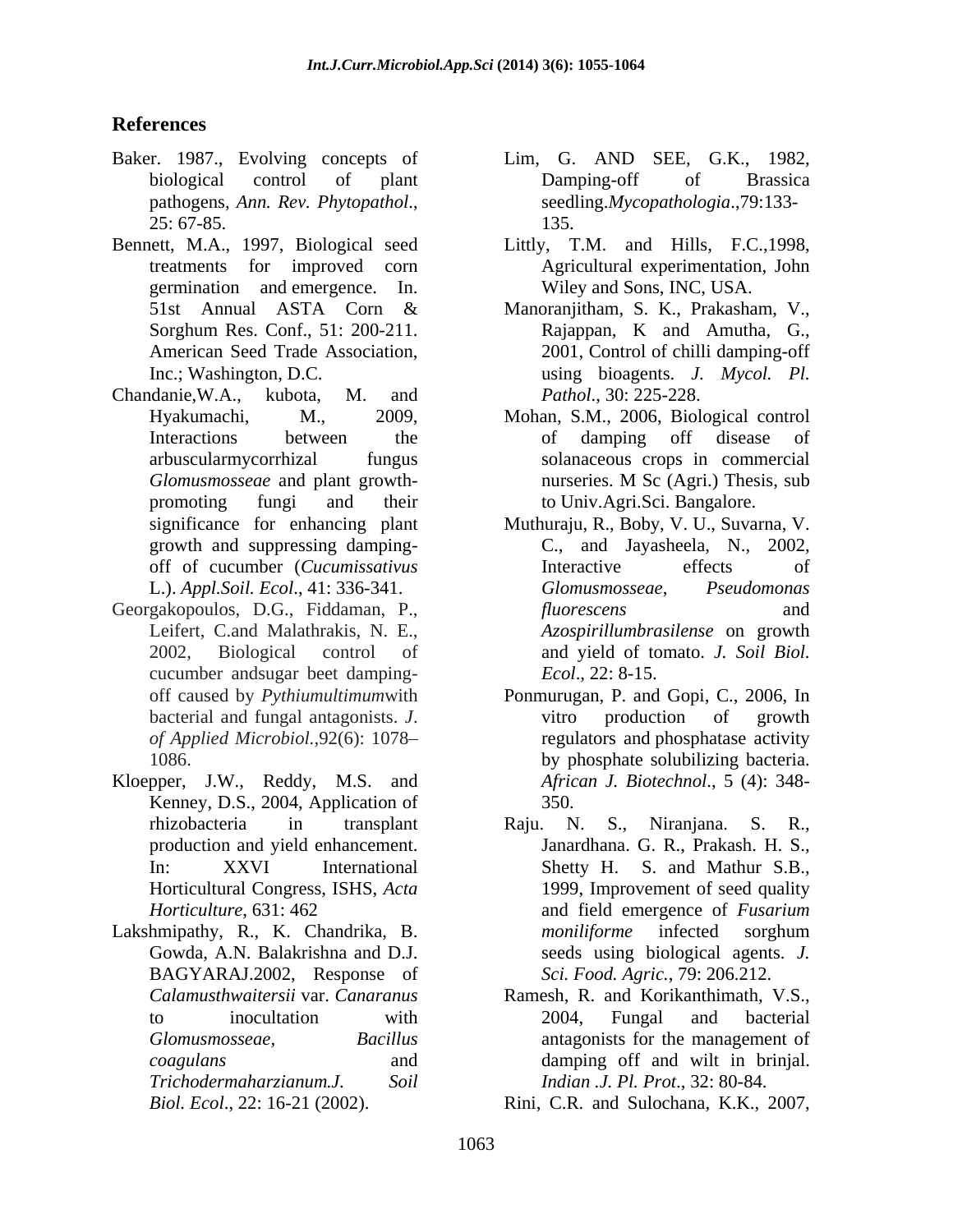- pathogens, *Ann. Rev. Phytopathol*., 25: 67-85.
- Bennett, M.A., 1997, Biological seed Littly, T.M. and Hills, F.C.,1998, germination and emergence. In.
- Chandanie,W.A., kubota, M. and *Pathol*., 30: 225-228. growth and suppressing damping-
- Georgakopoulos, D.G., Fiddaman, P., Leifert, C.and Malathrakis, N. E., cucumber andsugar beet damping-
- Kloepper, J.W., Reddy, M.S. and Kenney, D.S., 2004, Application of 350.
- Lakshmipathy, R., K. Chandrika, B. *moniliforme* infected sorghum BAGYARAJ.2002, Response of *Calamusthwaitersii* var. *Canaranus*
- **References** Baker. 1987., Evolving concepts of biological control of plant Lim, G. AND SEE, G.K., 1982, Damping-off of Brassica seedling.*Mycopathologia*.,79:133- 135.
	- treatments for improved corn Agricultural experimentation, John Wiley and Sons, INC, USA.
	- 51st Annual ASTA Corn & Sorghum Res. Conf., 51: 200-211. Rajappan, K and Amutha, G., American Seed Trade Association, 2001, Control of chilli damping-off Inc.; Washington, D.C. using bioagents. *J. Mycol. Pl.* Manoranjitham, S. K., Prakasham, V., Rajappan, K and Amutha, G.,
	- Hyakumachi, M., 2009, Mohan, S.M., 2006, Biological control Interactions between the of damping off disease of arbuscularmycorrhizal fungus solanaceous crops in commercial *Glomusmosseae* and plant growth promoting fungi and their to Univ.Agri.Sci. Bangalore. nurseries. M Sc (Agri.) Thesis, sub
	- significance for enhancing plant Muthuraju, R., Boby, V. U., Suvarna, V. off of cucumber (*Cucumissativus* L.). *Appl.Soil. Ecol*., 41: 336-341. 2002, Biological control of and yield of tomato. *J. Soil Biol.* C., and Jayasheela, N., 2002, Interactive effects of *Glomusmosseae*, *Pseudomonas fluorescens* and *Azospirillumbrasilense* on growth *Ecol*., 22: 8-15.
	- off caused by *Pythiumultimum*with Ponmurugan, P. and Gopi, C., 2006, In bacterial and fungal antagonists. *J*.  $\qquad \qquad \text{vitro} \qquad \text{production} \qquad \text{of} \qquad \text{growth}$ *of Applied Microbiol.,*92(6): 1078 regulators and phosphatase activity 1086. by phosphate solubilizing bacteria. vitro production of growth *African J. Biotechnol*., 5 (4): 348- 350.
	- rhizobacteria in transplant Raju. N. S., Niranjana. S. R., production and yield enhancement. Janardhana. G. R., Prakash. H. S., In: XXVI International Shetty H. S. and Mathur S.B., Horticultural Congress, ISHS, *Acta*  1999, Improvement of seed quality *Horticulture*, 631: 462 **and field emergence of** *Fusarium* Gowda, A.N. Balakrishna and D.J. seeds using biological agents. *J.*  Raju. N. S., Niranjana. S. R., and field emergence of *Fusarium moniliforme* infected sorghum *Sci. Food. Agric.*, 79: 206.212.
	- to inocultation with 2004, Fungal and bacterial *Glomusmosseae, Bacillus* antagonists for the management of *coagulans* and damping off and wilt in brinjal. *Trichodermaharzianum*.*J. Soil Indian .J. Pl. Prot*., 32: 80-84. Ramesh, R. and Korikanthimath, V.S., 2004, Fungal and bacterial

*Biol. Ecol*., 22: 16-21 (2002). Rini, C.R. and Sulochana, K.K., 2007,